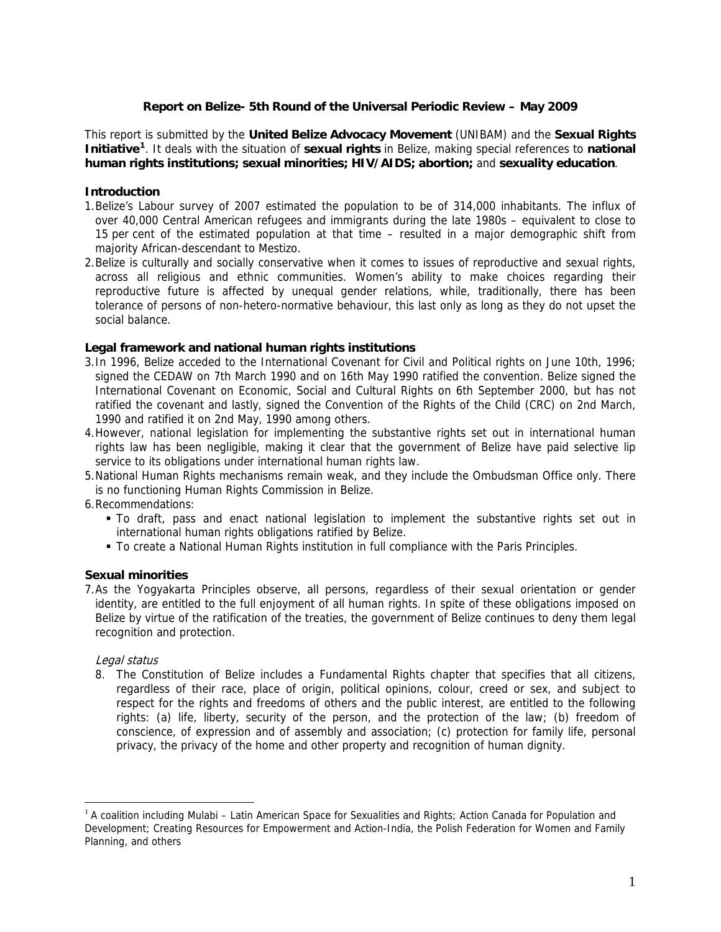## **Report on Belize- 5th Round of the Universal Periodic Review – May 2009**

This report is submitted by the **United Belize Advocacy Movement** (UNIBAM) and the **Sexual Rights Initiative[1](#page-0-0)**. It deals with the situation of **sexual rights** in Belize, making special references to **national human rights institutions; sexual minorities; HIV/AIDS; abortion;** and **sexuality education**.

### **Introduction**

- 1.Belize's Labour survey of 2007 estimated the population to be of 314,000 inhabitants. The influx of over 40,000 Central American refugees and immigrants during the late 1980s – equivalent to close to 15 per cent of the estimated population at that time – resulted in a major demographic shift from majority African-descendant to Mestizo.
- 2.Belize is culturally and socially conservative when it comes to issues of reproductive and sexual rights, across all religious and ethnic communities. Women's ability to make choices regarding their reproductive future is affected by unequal gender relations, while, traditionally, there has been tolerance of persons of non-hetero-normative behaviour, this last only as long as they do not upset the social balance.

#### **Legal framework and national human rights institutions**

- 3.In 1996, Belize acceded to the International Covenant for Civil and Political rights on June 10th, 1996; signed the CEDAW on 7th March 1990 and on 16th May 1990 ratified the convention. Belize signed the International Covenant on Economic, Social and Cultural Rights on 6th September 2000, but has not ratified the covenant and lastly, signed the Convention of the Rights of the Child (CRC) on 2nd March, 1990 and ratified it on 2nd May, 1990 among others.
- 4.However, national legislation for implementing the substantive rights set out in international human rights law has been negligible, making it clear that the government of Belize have paid selective lip service to its obligations under international human rights law.
- 5.National Human Rights mechanisms remain weak, and they include the Ombudsman Office only. There is no functioning Human Rights Commission in Belize.

6.Recommendations:

- To draft, pass and enact national legislation to implement the substantive rights set out in international human rights obligations ratified by Belize.
- To create a National Human Rights institution in full compliance with the Paris Principles.

## **Sexual minorities**

7.As the Yogyakarta Principles observe, all persons, regardless of their sexual orientation or gender identity, are entitled to the full enjoyment of all human rights. In spite of these obligations imposed on Belize by virtue of the ratification of the treaties, the government of Belize continues to deny them legal recognition and protection.

## Legal status

 $\overline{a}$ 

8. The Constitution of Belize includes a Fundamental Rights chapter that specifies that all citizens, regardless of their race, place of origin, political opinions, colour, creed or sex, and subject to respect for the rights and freedoms of others and the public interest, are entitled to the following rights: (a) life, liberty, security of the person, and the protection of the law; (b) freedom of conscience, of expression and of assembly and association; (c) protection for family life, personal privacy, the privacy of the home and other property and recognition of human dignity.

<span id="page-0-0"></span> $1$  A coalition including Mulabi – Latin American Space for Sexualities and Rights; Action Canada for Population and Development; Creating Resources for Empowerment and Action-India, the Polish Federation for Women and Family Planning, and others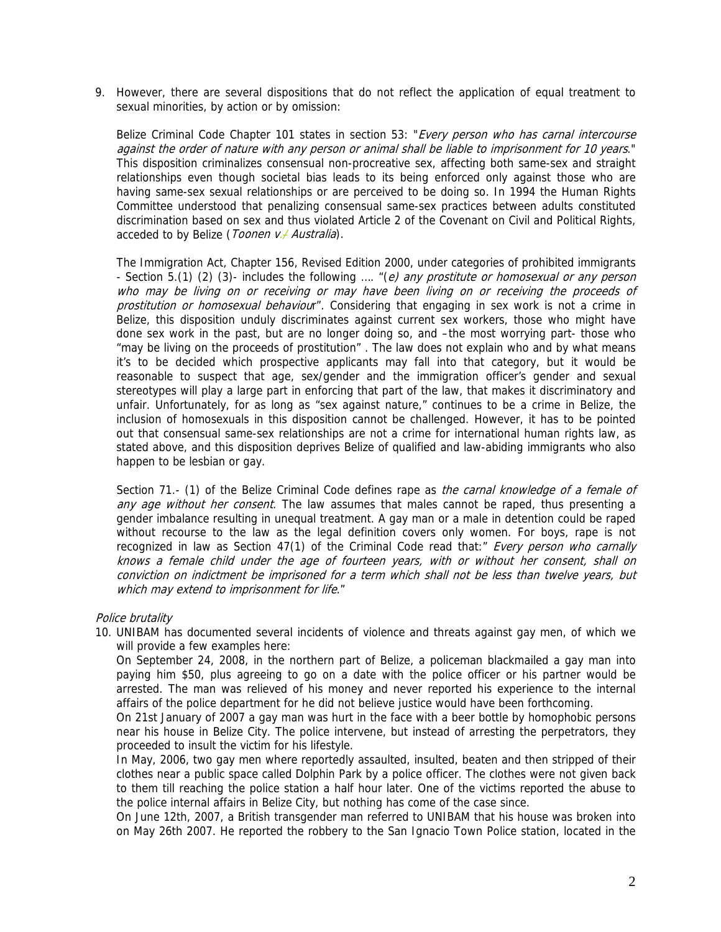9. However, there are several dispositions that do not reflect the application of equal treatment to sexual minorities, by action or by omission:

Belize Criminal Code Chapter 101 states in section 53: "Every person who has carnal intercourse against the order of nature with any person or animal shall be liable to imprisonment for 10 years." This disposition criminalizes consensual non-procreative sex, affecting both same-sex and straight relationships even though societal bias leads to its being enforced only against those who are having same-sex sexual relationships or are perceived to be doing so. In 1994 the Human Rights Committee understood that penalizing consensual same-sex practices between adults constituted discrimination based on sex and thus violated Article 2 of the Covenant on Civil and Political Rights, acceded to by Belize (Toonen v. Australia).

The Immigration Act, Chapter 156, Revised Edition 2000, under categories of prohibited immigrants - Section 5.(1) (2) (3)- includes the following .... "(e) any prostitute or homosexual or any person who may be living on or receiving or may have been living on or receiving the proceeds of prostitution or homosexual behaviour". Considering that engaging in sex work is not a crime in Belize, this disposition unduly discriminates against current sex workers, those who might have done sex work in the past, but are no longer doing so, and –the most worrying part- those who "may be living on the proceeds of prostitution" . The law does not explain who and by what means it's to be decided which prospective applicants may fall into that category, but it would be reasonable to suspect that age, sex/gender and the immigration officer's gender and sexual stereotypes will play a large part in enforcing that part of the law, that makes it discriminatory and unfair. Unfortunately, for as long as "sex against nature," continues to be a crime in Belize, the inclusion of homosexuals in this disposition cannot be challenged. However, it has to be pointed out that consensual same-sex relationships are not a crime for international human rights law, as stated above, and this disposition deprives Belize of qualified and law-abiding immigrants who also happen to be lesbian or gay.

Section 71.- (1) of the Belize Criminal Code defines rape as the carnal knowledge of a female of any age without her consent. The law assumes that males cannot be raped, thus presenting a gender imbalance resulting in unequal treatment. A gay man or a male in detention could be raped without recourse to the law as the legal definition covers only women. For boys, rape is not recognized in law as Section 47(1) of the Criminal Code read that:" Every person who carnally knows a female child under the age of fourteen years, with or without her consent, shall on conviction on indictment be imprisoned for a term which shall not be less than twelve years, but which may extend to imprisonment for life."

#### Police brutality

10. UNIBAM has documented several incidents of violence and threats against gay men, of which we will provide a few examples here:

On September 24, 2008, in the northern part of Belize, a policeman blackmailed a gay man into paying him \$50, plus agreeing to go on a date with the police officer or his partner would be arrested. The man was relieved of his money and never reported his experience to the internal affairs of the police department for he did not believe justice would have been forthcoming.

On 21st January of 2007 a gay man was hurt in the face with a beer bottle by homophobic persons near his house in Belize City. The police intervene, but instead of arresting the perpetrators, they proceeded to insult the victim for his lifestyle.

In May, 2006, two gay men where reportedly assaulted, insulted, beaten and then stripped of their clothes near a public space called Dolphin Park by a police officer. The clothes were not given back to them till reaching the police station a half hour later. One of the victims reported the abuse to the police internal affairs in Belize City, but nothing has come of the case since.

On June 12th, 2007, a British transgender man referred to UNIBAM that his house was broken into on May 26th 2007. He reported the robbery to the San Ignacio Town Police station, located in the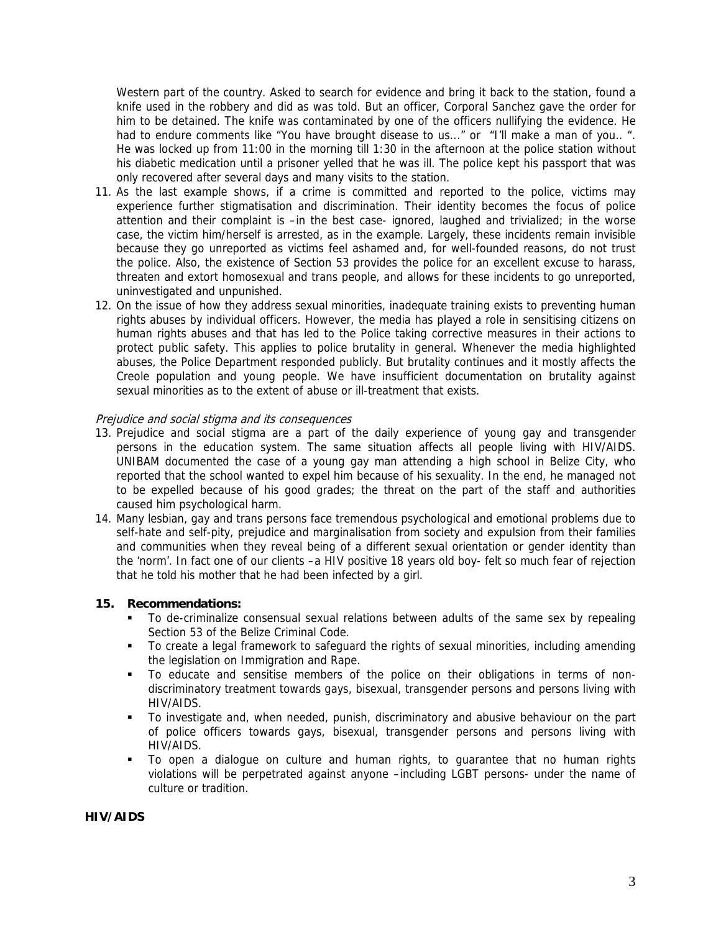Western part of the country. Asked to search for evidence and bring it back to the station, found a knife used in the robbery and did as was told. But an officer, Corporal Sanchez gave the order for him to be detained. The knife was contaminated by one of the officers nullifying the evidence. He had to endure comments like "You have brought disease to us..." or "I'll make a man of you.. ". He was locked up from 11:00 in the morning till 1:30 in the afternoon at the police station without his diabetic medication until a prisoner yelled that he was ill. The police kept his passport that was only recovered after several days and many visits to the station.

- 11. As the last example shows, if a crime is committed and reported to the police, victims may experience further stigmatisation and discrimination. Their identity becomes the focus of police attention and their complaint is –in the best case- ignored, laughed and trivialized; in the worse case, the victim him/herself is arrested, as in the example. Largely, these incidents remain invisible because they go unreported as victims feel ashamed and, for well-founded reasons, do not trust the police. Also, the existence of Section 53 provides the police for an excellent excuse to harass, threaten and extort homosexual and trans people, and allows for these incidents to go unreported, uninvestigated and unpunished.
- 12. On the issue of how they address sexual minorities, inadequate training exists to preventing human rights abuses by individual officers. However, the media has played a role in sensitising citizens on human rights abuses and that has led to the Police taking corrective measures in their actions to protect public safety. This applies to police brutality in general. Whenever the media highlighted abuses, the Police Department responded publicly. But brutality continues and it mostly affects the Creole population and young people. We have insufficient documentation on brutality against sexual minorities as to the extent of abuse or ill-treatment that exists.

### Prejudice and social stigma and its consequences

- 13. Prejudice and social stigma are a part of the daily experience of young gay and transgender persons in the education system. The same situation affects all people living with HIV/AIDS. UNIBAM documented the case of a young gay man attending a high school in Belize City, who reported that the school wanted to expel him because of his sexuality. In the end, he managed not to be expelled because of his good grades; the threat on the part of the staff and authorities caused him psychological harm.
- 14. Many lesbian, gay and trans persons face tremendous psychological and emotional problems due to self-hate and self-pity, prejudice and marginalisation from society and expulsion from their families and communities when they reveal being of a different sexual orientation or gender identity than the 'norm'. In fact one of our clients –a HIV positive 18 years old boy- felt so much fear of rejection that he told his mother that he had been infected by a girl.

### **15. Recommendations:**

- To de-criminalize consensual sexual relations between adults of the same sex by repealing Section 53 of the Belize Criminal Code.
- To create a legal framework to safeguard the rights of sexual minorities, including amending the legislation on Immigration and Rape.
- To educate and sensitise members of the police on their obligations in terms of nondiscriminatory treatment towards gays, bisexual, transgender persons and persons living with HIV/AIDS.
- To investigate and, when needed, punish, discriminatory and abusive behaviour on the part of police officers towards gays, bisexual, transgender persons and persons living with HIV/AIDS.
- To open a dialogue on culture and human rights, to guarantee that no human rights violations will be perpetrated against anyone –including LGBT persons- under the name of culture or tradition.

## **HIV/AIDS**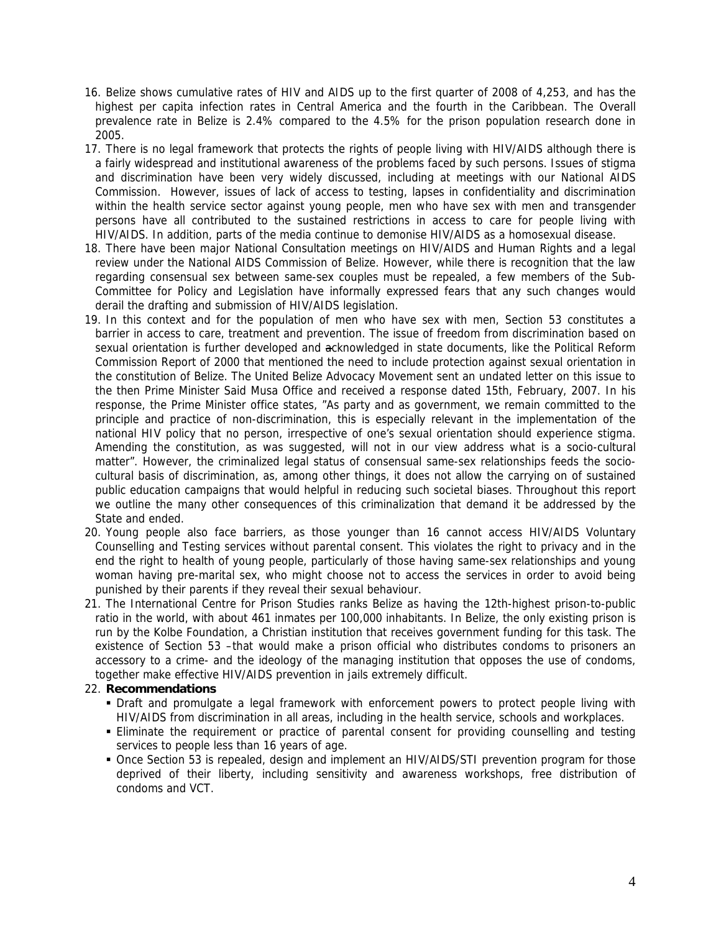- 16. Belize shows cumulative rates of HIV and AIDS up to the first quarter of 2008 of 4,253, and has the highest per capita infection rates in Central America and the fourth in the Caribbean. The Overall prevalence rate in Belize is 2.4% compared to the 4.5% for the prison population research done in 2005.
- 17. There is no legal framework that protects the rights of people living with HIV/AIDS although there is a fairly widespread and institutional awareness of the problems faced by such persons. Issues of stigma and discrimination have been very widely discussed, including at meetings with our National AIDS Commission. However, issues of lack of access to testing, lapses in confidentiality and discrimination within the health service sector against young people, men who have sex with men and transgender persons have all contributed to the sustained restrictions in access to care for people living with HIV/AIDS. In addition, parts of the media continue to demonise HIV/AIDS as a homosexual disease.
- 18. There have been major National Consultation meetings on HIV/AIDS and Human Rights and a legal review under the National AIDS Commission of Belize. However, while there is recognition that the law regarding consensual sex between same-sex couples must be repealed, a few members of the Sub-Committee for Policy and Legislation have informally expressed fears that any such changes would derail the drafting and submission of HIV/AIDS legislation.
- 19. In this context and for the population of men who have sex with men, Section 53 constitutes a barrier in access to care, treatment and prevention. The issue of freedom from discrimination based on sexual orientation is further developed and acknowledged in state documents, like the Political Reform Commission Report of 2000 that mentioned the need to include protection against sexual orientation in the constitution of Belize. The United Belize Advocacy Movement sent an undated letter on this issue to the then Prime Minister Said Musa Office and received a response dated 15th, February, 2007. In his response, the Prime Minister office states, "As party and as government, we remain committed to the principle and practice of non-discrimination, this is especially relevant in the implementation of the national HIV policy that no person, irrespective of one's sexual orientation should experience stigma. Amending the constitution, as was suggested, will not in our view address what is a socio-cultural matter". However, the criminalized legal status of consensual same-sex relationships feeds the sociocultural basis of discrimination, as, among other things, it does not allow the carrying on of sustained public education campaigns that would helpful in reducing such societal biases. Throughout this report we outline the many other consequences of this criminalization that demand it be addressed by the State and ended.
- 20. Young people also face barriers, as those younger than 16 cannot access HIV/AIDS Voluntary Counselling and Testing services without parental consent. This violates the right to privacy and in the end the right to health of young people, particularly of those having same-sex relationships and young woman having pre-marital sex, who might choose not to access the services in order to avoid being punished by their parents if they reveal their sexual behaviour.
- 21. The International Centre for Prison Studies ranks Belize as having the 12th-highest prison-to-public ratio in the world, with about 461 inmates per 100,000 inhabitants. In Belize, the only existing prison is run by the Kolbe Foundation, a Christian institution that receives government funding for this task. The existence of Section 53 –that would make a prison official who distributes condoms to prisoners an accessory to a crime- and the ideology of the managing institution that opposes the use of condoms, together make effective HIV/AIDS prevention in jails extremely difficult.

## 22. **Recommendations**

- Draft and promulgate a legal framework with enforcement powers to protect people living with HIV/AIDS from discrimination in all areas, including in the health service, schools and workplaces.
- Eliminate the requirement or practice of parental consent for providing counselling and testing services to people less than 16 years of age.
- Once Section 53 is repealed, design and implement an HIV/AIDS/STI prevention program for those deprived of their liberty, including sensitivity and awareness workshops, free distribution of condoms and VCT.